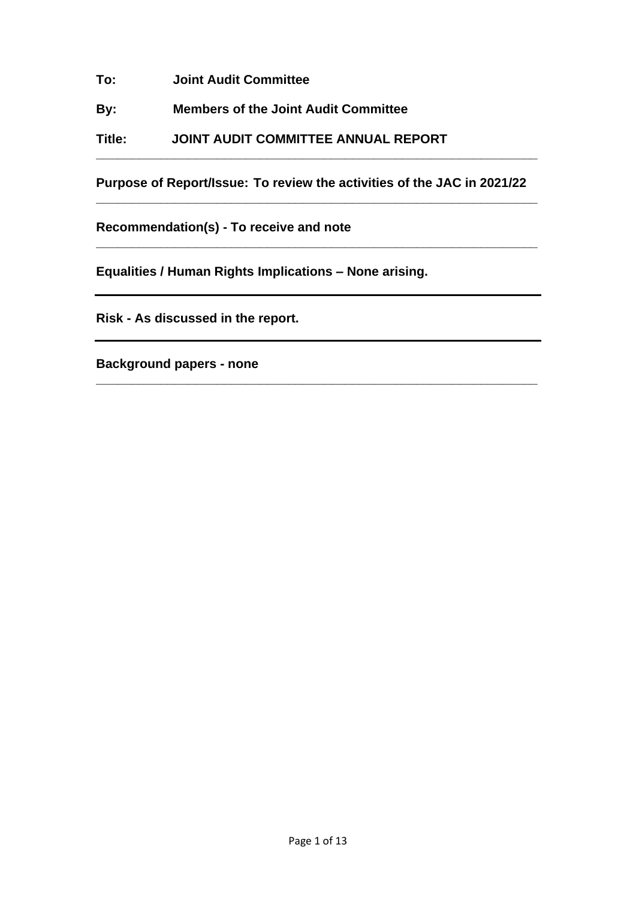**To: Joint Audit Committee**

**By: Members of the Joint Audit Committee**

**Title: JOINT AUDIT COMMITTEE ANNUAL REPORT**

**Purpose of Report/Issue: To review the activities of the JAC in 2021/22 \_\_\_\_\_\_\_\_\_\_\_\_\_\_\_\_\_\_\_\_\_\_\_\_\_\_\_\_\_\_\_\_\_\_\_\_\_\_\_\_\_\_\_\_\_\_\_\_\_\_\_\_\_\_\_\_\_\_\_\_\_\_**

**\_\_\_\_\_\_\_\_\_\_\_\_\_\_\_\_\_\_\_\_\_\_\_\_\_\_\_\_\_\_\_\_\_\_\_\_\_\_\_\_\_\_\_\_\_\_\_\_\_\_\_\_\_\_\_\_\_\_\_\_\_\_**

**\_\_\_\_\_\_\_\_\_\_\_\_\_\_\_\_\_\_\_\_\_\_\_\_\_\_\_\_\_\_\_\_\_\_\_\_\_\_\_\_\_\_\_\_\_\_\_\_\_\_\_\_\_\_\_\_\_\_\_\_\_\_**

**\_\_\_\_\_\_\_\_\_\_\_\_\_\_\_\_\_\_\_\_\_\_\_\_\_\_\_\_\_\_\_\_\_\_\_\_\_\_\_\_\_\_\_\_\_\_\_\_\_\_\_\_\_\_\_\_\_\_\_\_\_\_**

**Recommendation(s) - To receive and note**

**Equalities / Human Rights Implications – None arising.**

**Risk - As discussed in the report.**

**Background papers - none**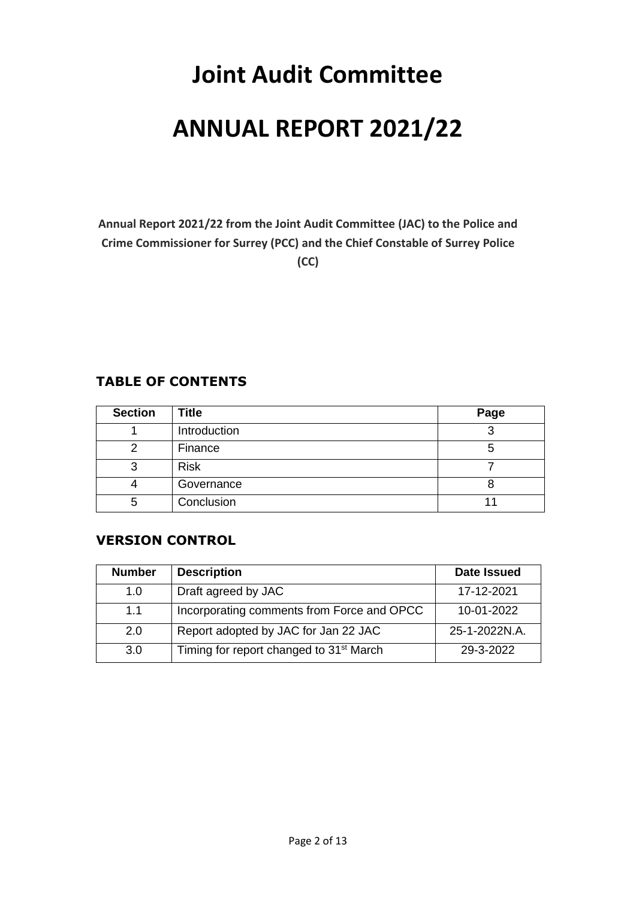# **Joint Audit Committee ANNUAL REPORT 2021/22**

**Annual Report 2021/22 from the Joint Audit Committee (JAC) to the Police and Crime Commissioner for Surrey (PCC) and the Chief Constable of Surrey Police (CC)**

## **TABLE OF CONTENTS**

| <b>Section</b> | <b>Title</b> | Page |
|----------------|--------------|------|
|                | Introduction |      |
|                | Finance      | C    |
| 3              | <b>Risk</b>  |      |
|                | Governance   |      |
| 5              | Conclusion   |      |

## **VERSION CONTROL**

| <b>Number</b> | <b>Description</b>                                  | <b>Date Issued</b> |
|---------------|-----------------------------------------------------|--------------------|
| 1.0           | Draft agreed by JAC                                 | 17-12-2021         |
| 1.1           | Incorporating comments from Force and OPCC          | 10-01-2022         |
| 2.0           | Report adopted by JAC for Jan 22 JAC                | 25-1-2022N.A.      |
| 3.0           | Timing for report changed to 31 <sup>st</sup> March | 29-3-2022          |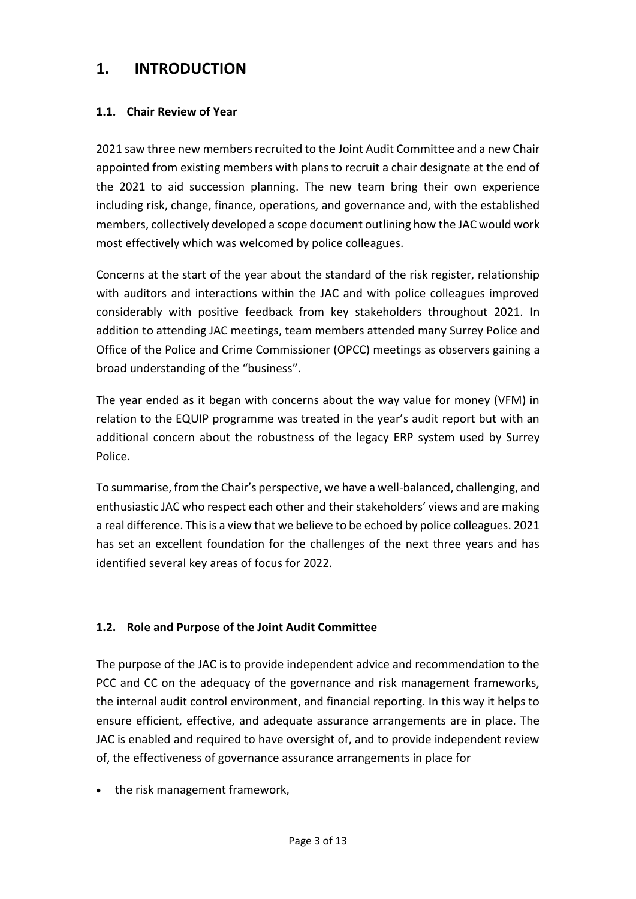## **1. INTRODUCTION**

## **1.1. Chair Review of Year**

2021 saw three new members recruited to the Joint Audit Committee and a new Chair appointed from existing members with plans to recruit a chair designate at the end of the 2021 to aid succession planning. The new team bring their own experience including risk, change, finance, operations, and governance and, with the established members, collectively developed a scope document outlining how the JAC would work most effectively which was welcomed by police colleagues.

Concerns at the start of the year about the standard of the risk register, relationship with auditors and interactions within the JAC and with police colleagues improved considerably with positive feedback from key stakeholders throughout 2021. In addition to attending JAC meetings, team members attended many Surrey Police and Office of the Police and Crime Commissioner (OPCC) meetings as observers gaining a broad understanding of the "business".

The year ended as it began with concerns about the way value for money (VFM) in relation to the EQUIP programme was treated in the year's audit report but with an additional concern about the robustness of the legacy ERP system used by Surrey Police.

To summarise, from the Chair's perspective, we have a well-balanced, challenging, and enthusiastic JAC who respect each other and their stakeholders' views and are making a real difference. This is a view that we believe to be echoed by police colleagues. 2021 has set an excellent foundation for the challenges of the next three years and has identified several key areas of focus for 2022.

## **1.2. Role and Purpose of the Joint Audit Committee**

The purpose of the JAC is to provide independent advice and recommendation to the PCC and CC on the adequacy of the governance and risk management frameworks, the internal audit control environment, and financial reporting. In this way it helps to ensure efficient, effective, and adequate assurance arrangements are in place. The JAC is enabled and required to have oversight of, and to provide independent review of, the effectiveness of governance assurance arrangements in place for

• the risk management framework,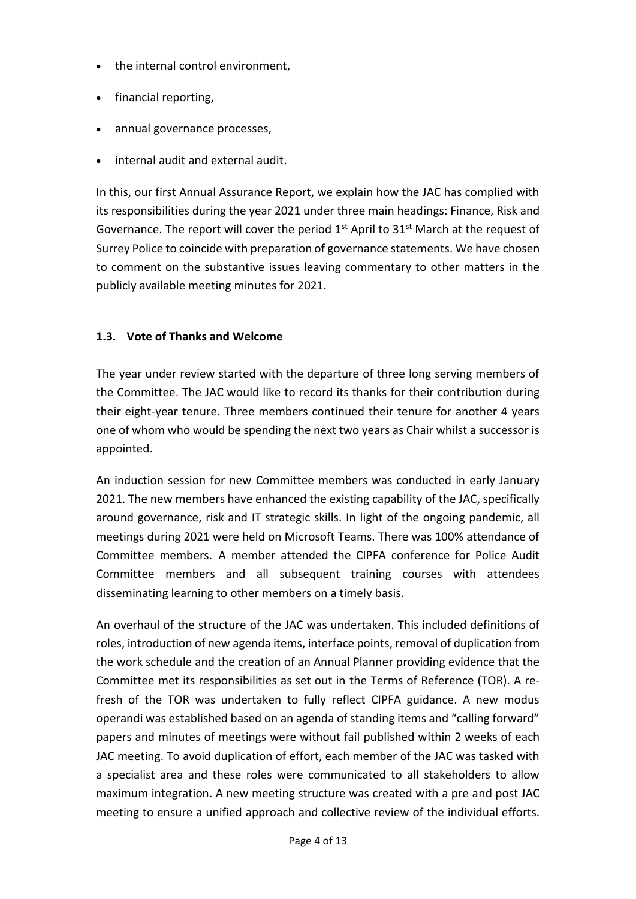- the internal control environment.
- financial reporting,
- annual governance processes,
- internal audit and external audit.

In this, our first Annual Assurance Report, we explain how the JAC has complied with its responsibilities during the year 2021 under three main headings: Finance, Risk and Governance. The report will cover the period  $1<sup>st</sup>$  April to  $31<sup>st</sup>$  March at the request of Surrey Police to coincide with preparation of governance statements. We have chosen to comment on the substantive issues leaving commentary to other matters in the publicly available meeting minutes for 2021.

## **1.3. Vote of Thanks and Welcome**

The year under review started with the departure of three long serving members of the Committee. The JAC would like to record its thanks for their contribution during their eight-year tenure. Three members continued their tenure for another 4 years one of whom who would be spending the next two years as Chair whilst a successor is appointed.

An induction session for new Committee members was conducted in early January 2021. The new members have enhanced the existing capability of the JAC, specifically around governance, risk and IT strategic skills. In light of the ongoing pandemic, all meetings during 2021 were held on Microsoft Teams. There was 100% attendance of Committee members. A member attended the CIPFA conference for Police Audit Committee members and all subsequent training courses with attendees disseminating learning to other members on a timely basis.

An overhaul of the structure of the JAC was undertaken. This included definitions of roles, introduction of new agenda items, interface points, removal of duplication from the work schedule and the creation of an Annual Planner providing evidence that the Committee met its responsibilities as set out in the Terms of Reference (TOR). A refresh of the TOR was undertaken to fully reflect CIPFA guidance. A new modus operandi was established based on an agenda of standing items and "calling forward" papers and minutes of meetings were without fail published within 2 weeks of each JAC meeting. To avoid duplication of effort, each member of the JAC was tasked with a specialist area and these roles were communicated to all stakeholders to allow maximum integration. A new meeting structure was created with a pre and post JAC meeting to ensure a unified approach and collective review of the individual efforts.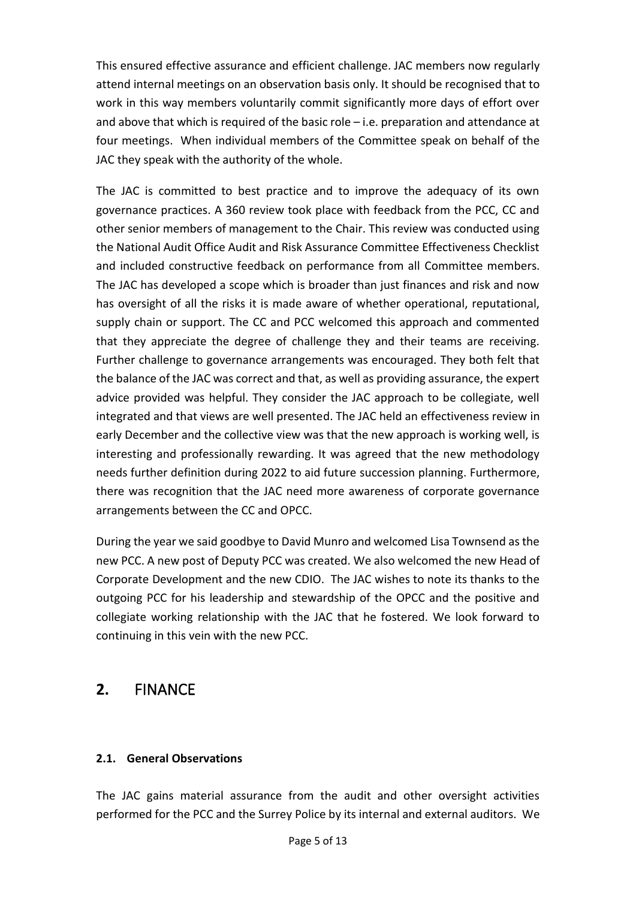This ensured effective assurance and efficient challenge. JAC members now regularly attend internal meetings on an observation basis only. It should be recognised that to work in this way members voluntarily commit significantly more days of effort over and above that which is required of the basic role – i.e. preparation and attendance at four meetings. When individual members of the Committee speak on behalf of the JAC they speak with the authority of the whole.

The JAC is committed to best practice and to improve the adequacy of its own governance practices. A 360 review took place with feedback from the PCC, CC and other senior members of management to the Chair. This review was conducted using the National Audit Office Audit and Risk Assurance Committee Effectiveness Checklist and included constructive feedback on performance from all Committee members. The JAC has developed a scope which is broader than just finances and risk and now has oversight of all the risks it is made aware of whether operational, reputational, supply chain or support. The CC and PCC welcomed this approach and commented that they appreciate the degree of challenge they and their teams are receiving. Further challenge to governance arrangements was encouraged. They both felt that the balance of the JAC was correct and that, as well as providing assurance, the expert advice provided was helpful. They consider the JAC approach to be collegiate, well integrated and that views are well presented. The JAC held an effectiveness review in early December and the collective view was that the new approach is working well, is interesting and professionally rewarding. It was agreed that the new methodology needs further definition during 2022 to aid future succession planning. Furthermore, there was recognition that the JAC need more awareness of corporate governance arrangements between the CC and OPCC.

During the year we said goodbye to David Munro and welcomed Lisa Townsend as the new PCC. A new post of Deputy PCC was created. We also welcomed the new Head of Corporate Development and the new CDIO. The JAC wishes to note its thanks to the outgoing PCC for his leadership and stewardship of the OPCC and the positive and collegiate working relationship with the JAC that he fostered. We look forward to continuing in this vein with the new PCC.

# **2.** FINANCE

## **2.1. General Observations**

The JAC gains material assurance from the audit and other oversight activities performed for the PCC and the Surrey Police by its internal and external auditors. We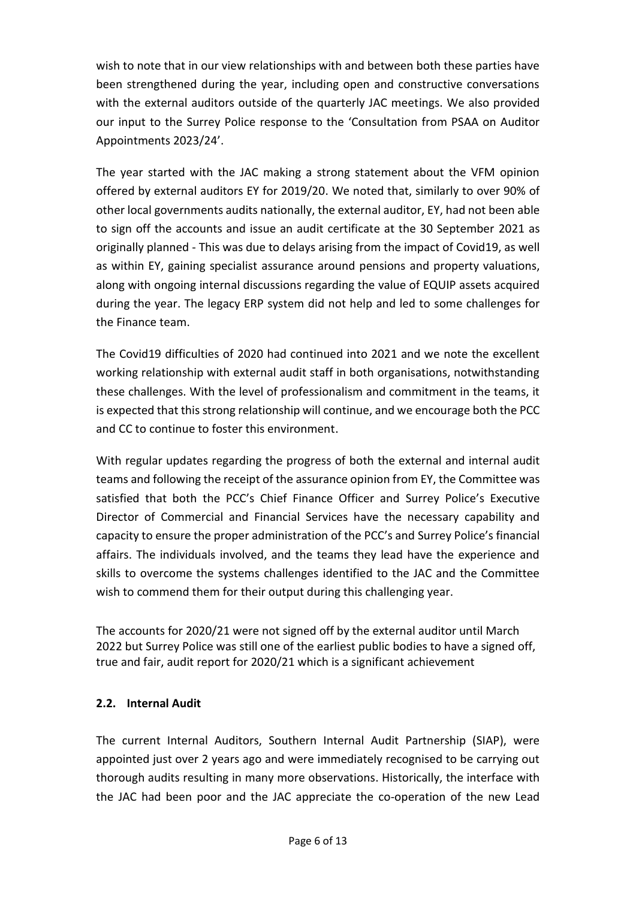wish to note that in our view relationships with and between both these parties have been strengthened during the year, including open and constructive conversations with the external auditors outside of the quarterly JAC meetings. We also provided our input to the Surrey Police response to the 'Consultation from PSAA on Auditor Appointments 2023/24'.

The year started with the JAC making a strong statement about the VFM opinion offered by external auditors EY for 2019/20. We noted that, similarly to over 90% of other local governments audits nationally, the external auditor, EY, had not been able to sign off the accounts and issue an audit certificate at the 30 September 2021 as originally planned - This was due to delays arising from the impact of Covid19, as well as within EY, gaining specialist assurance around pensions and property valuations, along with ongoing internal discussions regarding the value of EQUIP assets acquired during the year. The legacy ERP system did not help and led to some challenges for the Finance team.

The Covid19 difficulties of 2020 had continued into 2021 and we note the excellent working relationship with external audit staff in both organisations, notwithstanding these challenges. With the level of professionalism and commitment in the teams, it is expected that this strong relationship will continue, and we encourage both the PCC and CC to continue to foster this environment.

With regular updates regarding the progress of both the external and internal audit teams and following the receipt of the assurance opinion from EY, the Committee was satisfied that both the PCC's Chief Finance Officer and Surrey Police's Executive Director of Commercial and Financial Services have the necessary capability and capacity to ensure the proper administration of the PCC's and Surrey Police's financial affairs. The individuals involved, and the teams they lead have the experience and skills to overcome the systems challenges identified to the JAC and the Committee wish to commend them for their output during this challenging year.

The accounts for 2020/21 were not signed off by the external auditor until March 2022 but Surrey Police was still one of the earliest public bodies to have a signed off, true and fair, audit report for 2020/21 which is a significant achievement

## **2.2. Internal Audit**

The current Internal Auditors, Southern Internal Audit Partnership (SIAP), were appointed just over 2 years ago and were immediately recognised to be carrying out thorough audits resulting in many more observations. Historically, the interface with the JAC had been poor and the JAC appreciate the co-operation of the new Lead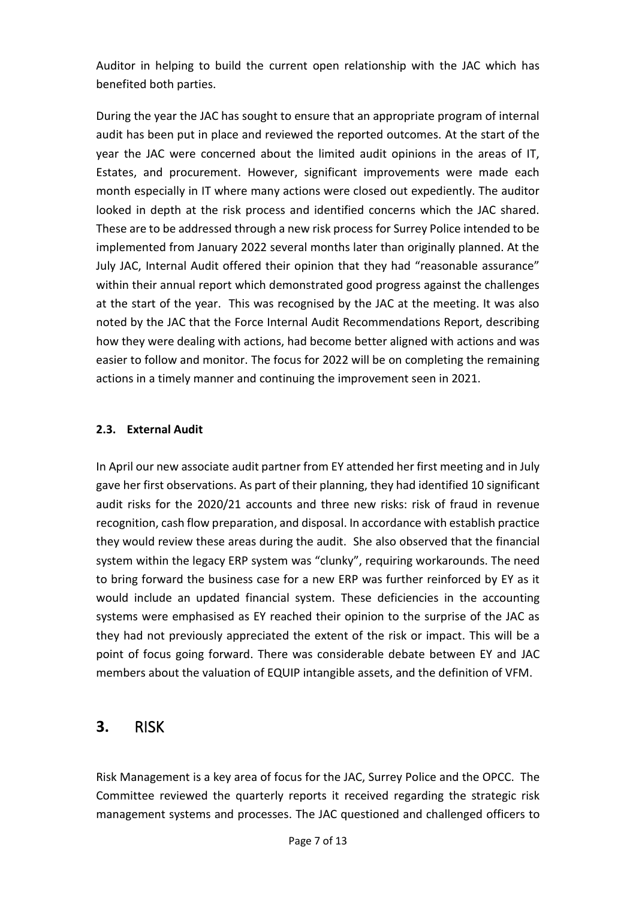Auditor in helping to build the current open relationship with the JAC which has benefited both parties.

During the year the JAC has sought to ensure that an appropriate program of internal audit has been put in place and reviewed the reported outcomes. At the start of the year the JAC were concerned about the limited audit opinions in the areas of IT, Estates, and procurement. However, significant improvements were made each month especially in IT where many actions were closed out expediently. The auditor looked in depth at the risk process and identified concerns which the JAC shared. These are to be addressed through a new risk process for Surrey Police intended to be implemented from January 2022 several months later than originally planned. At the July JAC, Internal Audit offered their opinion that they had "reasonable assurance" within their annual report which demonstrated good progress against the challenges at the start of the year. This was recognised by the JAC at the meeting. It was also noted by the JAC that the Force Internal Audit Recommendations Report, describing how they were dealing with actions, had become better aligned with actions and was easier to follow and monitor. The focus for 2022 will be on completing the remaining actions in a timely manner and continuing the improvement seen in 2021.

## **2.3. External Audit**

In April our new associate audit partner from EY attended her first meeting and in July gave her first observations. As part of their planning, they had identified 10 significant audit risks for the 2020/21 accounts and three new risks: risk of fraud in revenue recognition, cash flow preparation, and disposal. In accordance with establish practice they would review these areas during the audit. She also observed that the financial system within the legacy ERP system was "clunky", requiring workarounds. The need to bring forward the business case for a new ERP was further reinforced by EY as it would include an updated financial system. These deficiencies in the accounting systems were emphasised as EY reached their opinion to the surprise of the JAC as they had not previously appreciated the extent of the risk or impact. This will be a point of focus going forward. There was considerable debate between EY and JAC members about the valuation of EQUIP intangible assets, and the definition of VFM.

## **3.** RISK

Risk Management is a key area of focus for the JAC, Surrey Police and the OPCC. The Committee reviewed the quarterly reports it received regarding the strategic risk management systems and processes. The JAC questioned and challenged officers to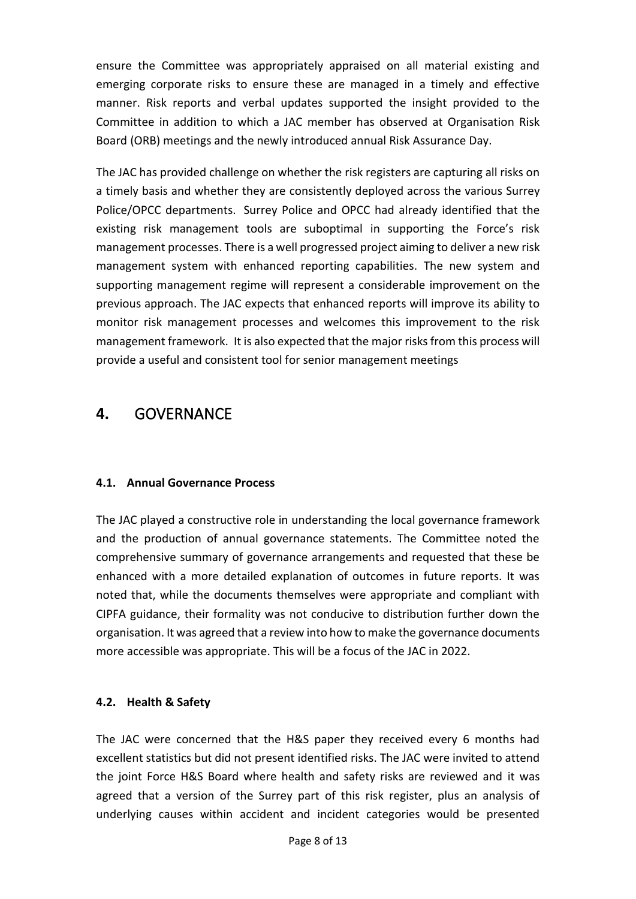ensure the Committee was appropriately appraised on all material existing and emerging corporate risks to ensure these are managed in a timely and effective manner. Risk reports and verbal updates supported the insight provided to the Committee in addition to which a JAC member has observed at Organisation Risk Board (ORB) meetings and the newly introduced annual Risk Assurance Day.

The JAC has provided challenge on whether the risk registers are capturing all risks on a timely basis and whether they are consistently deployed across the various Surrey Police/OPCC departments. Surrey Police and OPCC had already identified that the existing risk management tools are suboptimal in supporting the Force's risk management processes. There is a well progressed project aiming to deliver a new risk management system with enhanced reporting capabilities. The new system and supporting management regime will represent a considerable improvement on the previous approach. The JAC expects that enhanced reports will improve its ability to monitor risk management processes and welcomes this improvement to the risk management framework. It is also expected that the major risks from this process will provide a useful and consistent tool for senior management meetings

# **4.** GOVERNANCE

## **4.1. Annual Governance Process**

The JAC played a constructive role in understanding the local governance framework and the production of annual governance statements. The Committee noted the comprehensive summary of governance arrangements and requested that these be enhanced with a more detailed explanation of outcomes in future reports. It was noted that, while the documents themselves were appropriate and compliant with CIPFA guidance, their formality was not conducive to distribution further down the organisation. It was agreed that a review into how to make the governance documents more accessible was appropriate. This will be a focus of the JAC in 2022.

## **4.2. Health & Safety**

The JAC were concerned that the H&S paper they received every 6 months had excellent statistics but did not present identified risks. The JAC were invited to attend the joint Force H&S Board where health and safety risks are reviewed and it was agreed that a version of the Surrey part of this risk register, plus an analysis of underlying causes within accident and incident categories would be presented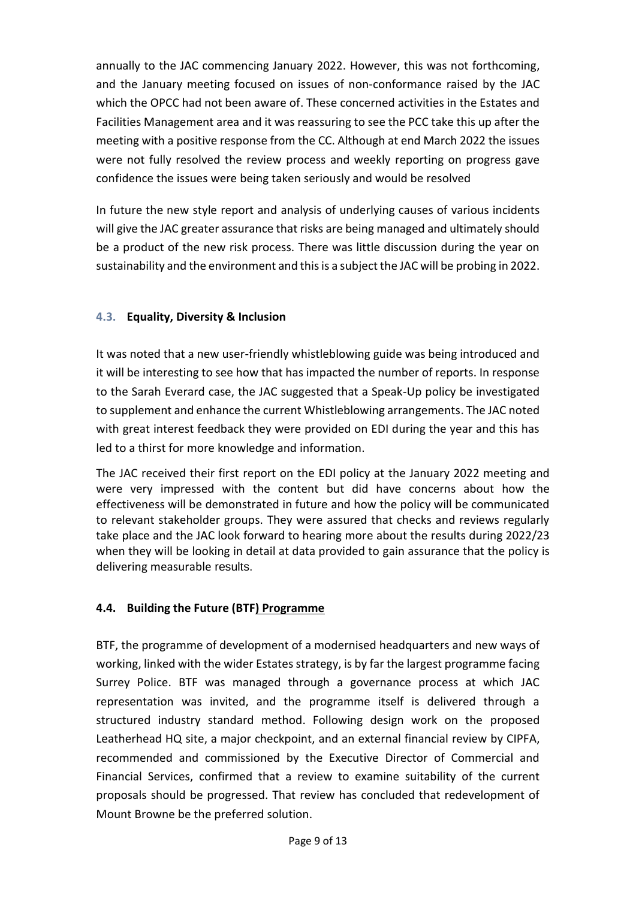annually to the JAC commencing January 2022. However, this was not forthcoming, and the January meeting focused on issues of non-conformance raised by the JAC which the OPCC had not been aware of. These concerned activities in the Estates and Facilities Management area and it was reassuring to see the PCC take this up after the meeting with a positive response from the CC. Although at end March 2022 the issues were not fully resolved the review process and weekly reporting on progress gave confidence the issues were being taken seriously and would be resolved

In future the new style report and analysis of underlying causes of various incidents will give the JAC greater assurance that risks are being managed and ultimately should be a product of the new risk process. There was little discussion during the year on sustainability and the environment and this is a subject the JAC will be probing in 2022.

## **4.3. Equality, Diversity & Inclusion**

It was noted that a new user-friendly whistleblowing guide was being introduced and it will be interesting to see how that has impacted the number of reports. In response to the Sarah Everard case, the JAC suggested that a Speak-Up policy be investigated to supplement and enhance the current Whistleblowing arrangements. The JAC noted with great interest feedback they were provided on EDI during the year and this has led to a thirst for more knowledge and information.

The JAC received their first report on the EDI policy at the January 2022 meeting and were very impressed with the content but did have concerns about how the effectiveness will be demonstrated in future and how the policy will be communicated to relevant stakeholder groups. They were assured that checks and reviews regularly take place and the JAC look forward to hearing more about the results during 2022/23 when they will be looking in detail at data provided to gain assurance that the policy is delivering measurable results.

## **4.4. Building the Future (BTF) Programme**

BTF, the programme of development of a modernised headquarters and new ways of working, linked with the wider Estates strategy, is by far the largest programme facing Surrey Police. BTF was managed through a governance process at which JAC representation was invited, and the programme itself is delivered through a structured industry standard method. Following design work on the proposed Leatherhead HQ site, a major checkpoint, and an external financial review by CIPFA, recommended and commissioned by the Executive Director of Commercial and Financial Services, confirmed that a review to examine suitability of the current proposals should be progressed. That review has concluded that redevelopment of Mount Browne be the preferred solution.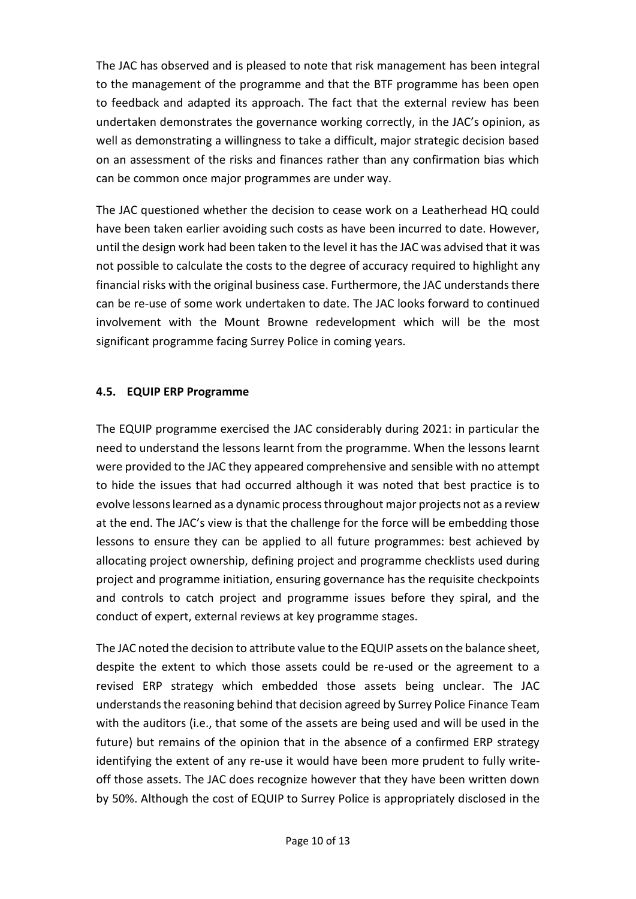The JAC has observed and is pleased to note that risk management has been integral to the management of the programme and that the BTF programme has been open to feedback and adapted its approach. The fact that the external review has been undertaken demonstrates the governance working correctly, in the JAC's opinion, as well as demonstrating a willingness to take a difficult, major strategic decision based on an assessment of the risks and finances rather than any confirmation bias which can be common once major programmes are under way.

The JAC questioned whether the decision to cease work on a Leatherhead HQ could have been taken earlier avoiding such costs as have been incurred to date. However, until the design work had been taken to the level it has the JAC was advised that it was not possible to calculate the costs to the degree of accuracy required to highlight any financial risks with the original business case. Furthermore, the JAC understands there can be re-use of some work undertaken to date. The JAC looks forward to continued involvement with the Mount Browne redevelopment which will be the most significant programme facing Surrey Police in coming years.

## **4.5. EQUIP ERP Programme**

The EQUIP programme exercised the JAC considerably during 2021: in particular the need to understand the lessons learnt from the programme. When the lessons learnt were provided to the JAC they appeared comprehensive and sensible with no attempt to hide the issues that had occurred although it was noted that best practice is to evolve lessons learned as a dynamic process throughout major projects not as a review at the end. The JAC's view is that the challenge for the force will be embedding those lessons to ensure they can be applied to all future programmes: best achieved by allocating project ownership, defining project and programme checklists used during project and programme initiation, ensuring governance has the requisite checkpoints and controls to catch project and programme issues before they spiral, and the conduct of expert, external reviews at key programme stages.

The JAC noted the decision to attribute value to the EQUIP assets on the balance sheet, despite the extent to which those assets could be re-used or the agreement to a revised ERP strategy which embedded those assets being unclear. The JAC understands the reasoning behind that decision agreed by Surrey Police Finance Team with the auditors (i.e., that some of the assets are being used and will be used in the future) but remains of the opinion that in the absence of a confirmed ERP strategy identifying the extent of any re-use it would have been more prudent to fully writeoff those assets. The JAC does recognize however that they have been written down by 50%. Although the cost of EQUIP to Surrey Police is appropriately disclosed in the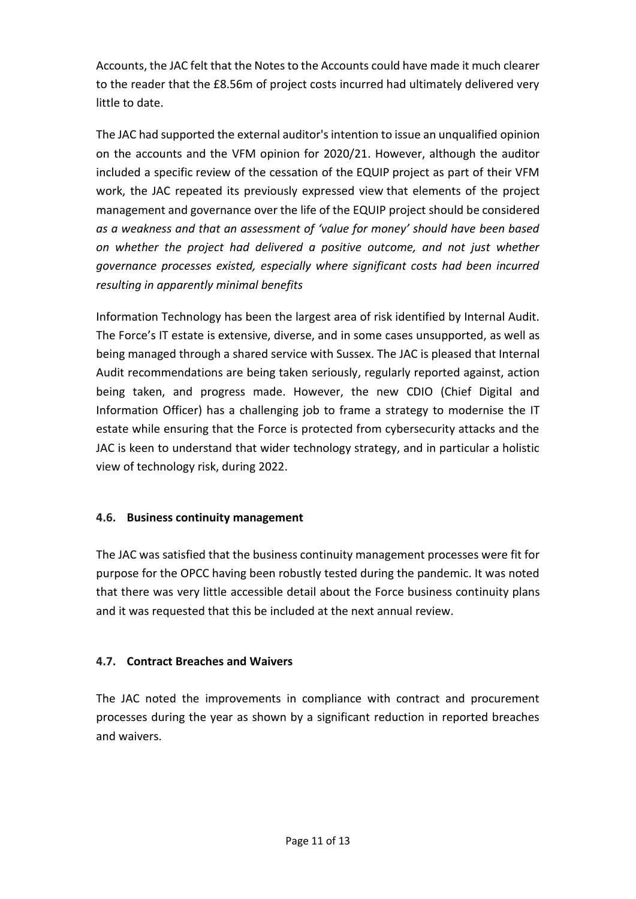Accounts, the JAC felt that the Notes to the Accounts could have made it much clearer to the reader that the £8.56m of project costs incurred had ultimately delivered very little to date.

The JAC had supported the external auditor's intention to issue an unqualified opinion on the accounts and the VFM opinion for 2020/21. However, although the auditor included a specific review of the cessation of the EQUIP project as part of their VFM work, the JAC repeated its previously expressed view that elements of the project management and governance over the life of the EQUIP project should be considered *as a weakness and that an assessment of 'value for money' should have been based on whether the project had delivered a positive outcome, and not just whether governance processes existed, especially where significant costs had been incurred resulting in apparently minimal benefits*

Information Technology has been the largest area of risk identified by Internal Audit. The Force's IT estate is extensive, diverse, and in some cases unsupported, as well as being managed through a shared service with Sussex. The JAC is pleased that Internal Audit recommendations are being taken seriously, regularly reported against, action being taken, and progress made. However, the new CDIO (Chief Digital and Information Officer) has a challenging job to frame a strategy to modernise the IT estate while ensuring that the Force is protected from cybersecurity attacks and the JAC is keen to understand that wider technology strategy, and in particular a holistic view of technology risk, during 2022.

## **4.6. Business continuity management**

The JAC was satisfied that the business continuity management processes were fit for purpose for the OPCC having been robustly tested during the pandemic. It was noted that there was very little accessible detail about the Force business continuity plans and it was requested that this be included at the next annual review.

## **4.7. Contract Breaches and Waivers**

The JAC noted the improvements in compliance with contract and procurement processes during the year as shown by a significant reduction in reported breaches and waivers.